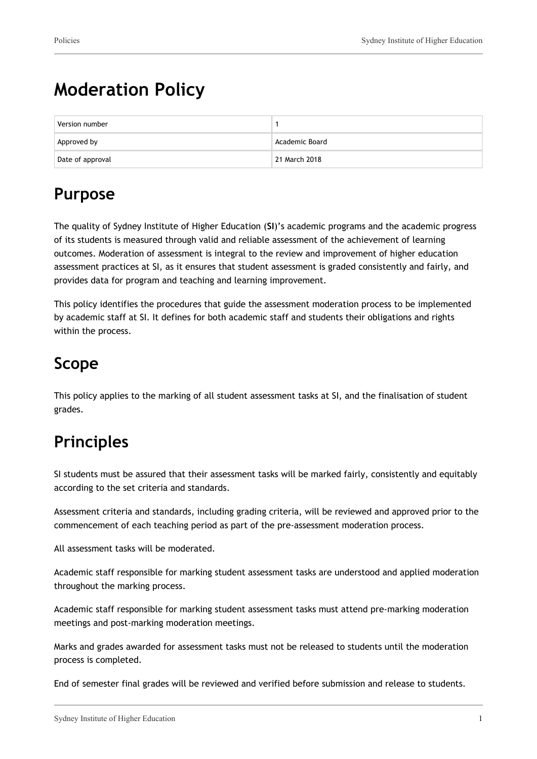# **Moderation Policy**

| Version number   |                            |
|------------------|----------------------------|
| Approved by      | Academic Board             |
| Date of approval | <sup>1</sup> 21 March 2018 |

# **Purpose**

The quality of Sydney Institute of Higher Education (**SI**)'s academic programs and the academic progress of its students is measured through valid and reliable assessment of the achievement of learning outcomes. Moderation of assessment is integral to the review and improvement of higher education assessment practices at SI, as it ensures that student assessment is graded consistently and fairly, and provides data for program and teaching and learning improvement.

This policy identifies the procedures that guide the assessment moderation process to be implemented by academic staff at SI. It defines for both academic staff and students their obligations and rights within the process.

# **Scope**

This policy applies to the marking of all student assessment tasks at SI, and the finalisation of student grades.

# **Principles**

SI students must be assured that their assessment tasks will be marked fairly, consistently and equitably according to the set criteria and standards.

Assessment criteria and standards, including grading criteria, will be reviewed and approved prior to the commencement of each teaching period as part of the pre-assessment moderation process.

All assessment tasks will be moderated.

Academic staff responsible for marking student assessment tasks are understood and applied moderation throughout the marking process.

Academic staff responsible for marking student assessment tasks must attend pre-marking moderation meetings and post-marking moderation meetings.

Marks and grades awarded for assessment tasks must not be released to students until the moderation process is completed.

End of semester final grades will be reviewed and verified before submission and release to students.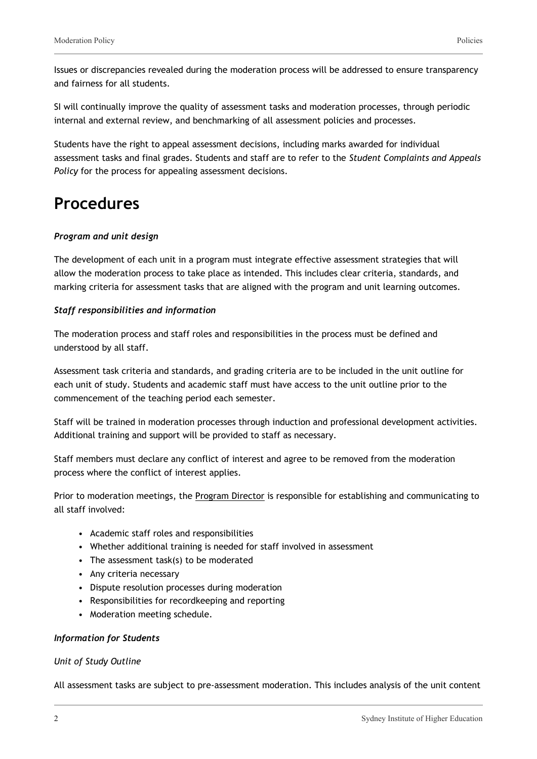Issues or discrepancies revealed during the moderation process will be addressed to ensure transparency and fairness for all students.

SI will continually improve the quality of assessment tasks and moderation processes, through periodic internal and external review, and benchmarking of all assessment policies and processes.

Students have the right to appeal assessment decisions, including marks awarded for individual assessment tasks and final grades. Students and staff are to refer to the *Student Complaints and Appeals Policy* for the process for appealing assessment decisions.

### **Procedures**

#### *Program and unit design*

The development of each unit in a program must integrate effective assessment strategies that will allow the moderation process to take place as intended. This includes clear criteria, standards, and marking criteria for assessment tasks that are aligned with the program and unit learning outcomes.

#### *Staff responsibilities and information*

The moderation process and staff roles and responsibilities in the process must be defined and understood by all staff.

Assessment task criteria and standards, and grading criteria are to be included in the unit outline for each unit of study. Students and academic staff must have access to the unit outline prior to the commencement of the teaching period each semester.

Staff will be trained in moderation processes through induction and professional development activities. Additional training and support will be provided to staff as necessary.

Staff members must declare any conflict of interest and agree to be removed from the moderation process where the conflict of interest applies.

Prior to moderation meetings, the Program Director is responsible for establishing and communicating to all staff involved:

- Academic staff roles and responsibilities
- Whether additional training is needed for staff involved in assessment
- The assessment task(s) to be moderated
- Any criteria necessary
- Dispute resolution processes during moderation
- Responsibilities for recordkeeping and reporting
- Moderation meeting schedule.

#### *Information for Students*

#### *Unit of Study Outline*

All assessment tasks are subject to pre-assessment moderation. This includes analysis of the unit content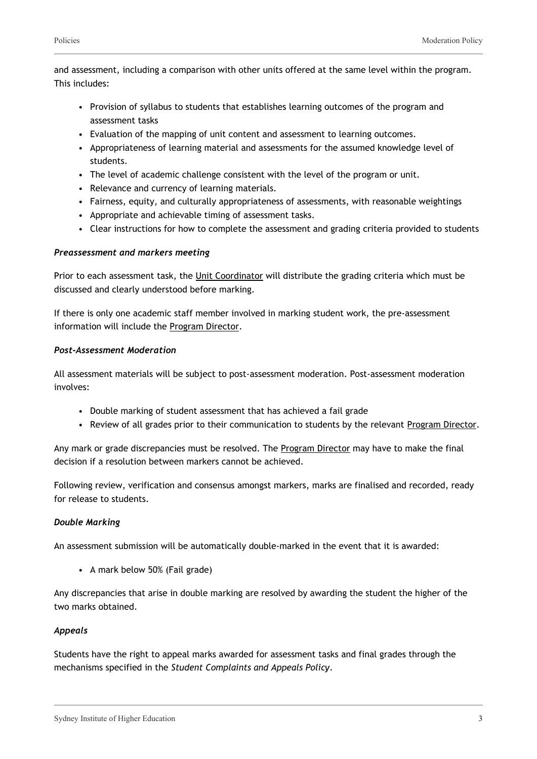and assessment, including a comparison with other units offered at the same level within the program. This includes:

- Provision of syllabus to students that establishes learning outcomes of the program and assessment tasks
- Evaluation of the mapping of unit content and assessment to learning outcomes.
- Appropriateness of learning material and assessments for the assumed knowledge level of students.
- The level of academic challenge consistent with the level of the program or unit.
- Relevance and currency of learning materials.
- Fairness, equity, and culturally appropriateness of assessments, with reasonable weightings
- Appropriate and achievable timing of assessment tasks.
- Clear instructions for how to complete the assessment and grading criteria provided to students

#### *Preassessment and markers meeting*

Prior to each assessment task, the Unit Coordinator will distribute the grading criteria which must be discussed and clearly understood before marking.

If there is only one academic staff member involved in marking student work, the pre-assessment information will include the Program Director.

#### *Post-Assessment Moderation*

All assessment materials will be subject to post-assessment moderation. Post-assessment moderation involves:

- Double marking of student assessment that has achieved a fail grade
- Review of all grades prior to their communication to students by the relevant Program Director.

Any mark or grade discrepancies must be resolved. The Program Director may have to make the final decision if a resolution between markers cannot be achieved.

Following review, verification and consensus amongst markers, marks are finalised and recorded, ready for release to students.

#### *Double Marking*

An assessment submission will be automatically double-marked in the event that it is awarded:

• A mark below 50% (Fail grade)

Any discrepancies that arise in double marking are resolved by awarding the student the higher of the two marks obtained.

#### *Appeals*

Students have the right to appeal marks awarded for assessment tasks and final grades through the mechanisms specified in the *Student Complaints and Appeals Policy*.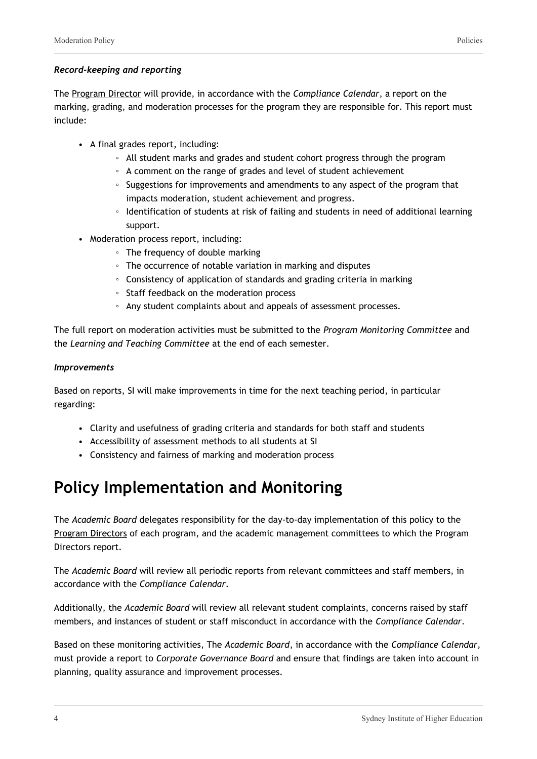#### *Record-keeping and reporting*

The Program Director will provide, in accordance with the *Compliance Calendar*, a report on the marking, grading, and moderation processes for the program they are responsible for. This report must include:

- A final grades report, including:
	- All student marks and grades and student cohort progress through the program
	- A comment on the range of grades and level of student achievement
	- Suggestions for improvements and amendments to any aspect of the program that impacts moderation, student achievement and progress.
	- Identification of students at risk of failing and students in need of additional learning support.
- Moderation process report, including:
	- The frequency of double marking
	- The occurrence of notable variation in marking and disputes
	- Consistency of application of standards and grading criteria in marking
	- Staff feedback on the moderation process
	- Any student complaints about and appeals of assessment processes.

The full report on moderation activities must be submitted to the *Program Monitoring Committee* and the *Learning and Teaching Committee* at the end of each semester.

#### *Improvements*

Based on reports, SI will make improvements in time for the next teaching period, in particular regarding:

- Clarity and usefulness of grading criteria and standards for both staff and students
- Accessibility of assessment methods to all students at SI
- Consistency and fairness of marking and moderation process

## **Policy Implementation and Monitoring**

The *Academic Board* delegates responsibility for the day-to-day implementation of this policy to the Program Directors of each program, and the academic management committees to which the Program Directors report.

The *Academic Board* will review all periodic reports from relevant committees and staff members, in accordance with the *Compliance Calendar*.

Additionally, the *Academic Board* will review all relevant student complaints, concerns raised by staff members, and instances of student or staff misconduct in accordance with the *Compliance Calendar*.

Based on these monitoring activities, The *Academic Board*, in accordance with the *Compliance Calendar,* must provide a report to *Corporate Governance Board* and ensure that findings are taken into account in planning, quality assurance and improvement processes.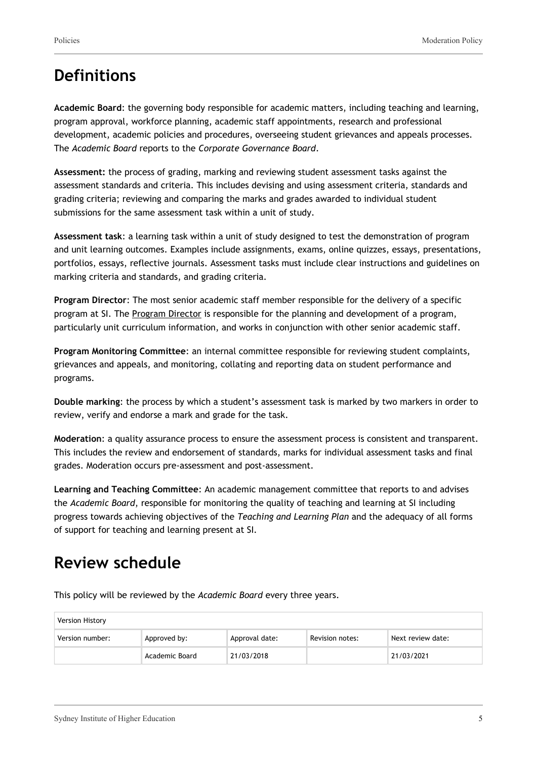### **Definitions**

**Academic Board**: the governing body responsible for academic matters, including teaching and learning, program approval, workforce planning, academic staff appointments, research and professional development, academic policies and procedures, overseeing student grievances and appeals processes. The *Academic Board* reports to the *Corporate Governance Board*.

**Assessment:** the process of grading, marking and reviewing student assessment tasks against the assessment standards and criteria. This includes devising and using assessment criteria, standards and grading criteria; reviewing and comparing the marks and grades awarded to individual student submissions for the same assessment task within a unit of study.

**Assessment task**: a learning task within a unit of study designed to test the demonstration of program and unit learning outcomes. Examples include assignments, exams, online quizzes, essays, presentations, portfolios, essays, reflective journals. Assessment tasks must include clear instructions and guidelines on marking criteria and standards, and grading criteria.

**Program Director**: The most senior academic staff member responsible for the delivery of a specific program at SI. The Program Director is responsible for the planning and development of a program, particularly unit curriculum information, and works in conjunction with other senior academic staff.

**Program Monitoring Committee**: an internal committee responsible for reviewing student complaints, grievances and appeals, and monitoring, collating and reporting data on student performance and programs.

**Double marking**: the process by which a student's assessment task is marked by two markers in order to review, verify and endorse a mark and grade for the task.

**Moderation**: a quality assurance process to ensure the assessment process is consistent and transparent. This includes the review and endorsement of standards, marks for individual assessment tasks and final grades. Moderation occurs pre-assessment and post-assessment.

**Learning and Teaching Committee**: An academic management committee that reports to and advises the *Academic Board*, responsible for monitoring the quality of teaching and learning at SI including progress towards achieving objectives of the *Teaching and Learning Plan* and the adequacy of all forms of support for teaching and learning present at SI.

## **Review schedule**

This policy will be reviewed by the *Academic Board* every three years.

| <b>Version History</b> |                |                |                 |                   |
|------------------------|----------------|----------------|-----------------|-------------------|
| Version number:        | Approved by:   | Approval date: | Revision notes: | Next review date: |
|                        | Academic Board | 21/03/2018     |                 | 21/03/2021        |